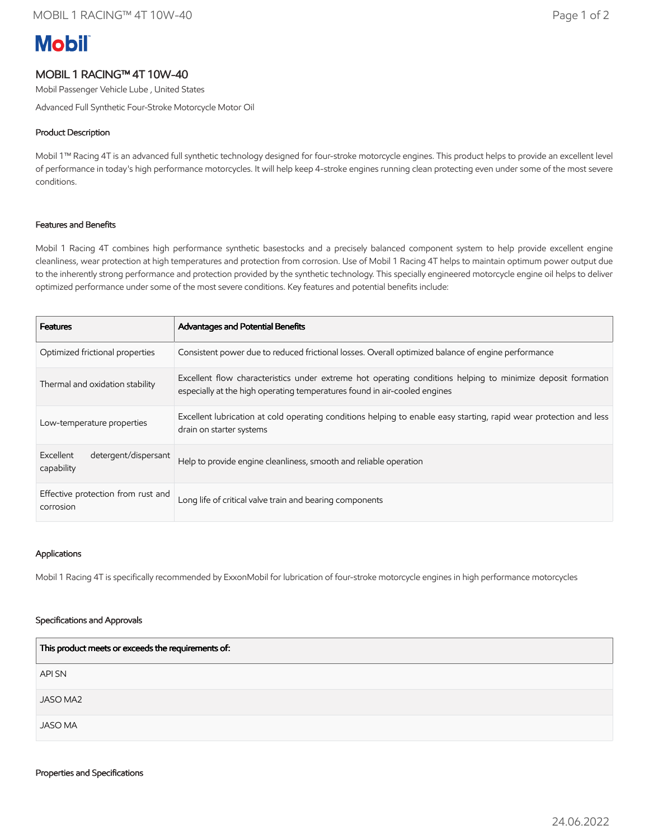# **Mobil**

## MOBIL 1 RACING™ 4T 10W-40

Mobil Passenger Vehicle Lube , United States

Advanced Full Synthetic Four-Stroke Motorcycle Motor Oil

### Product Description

Mobil 1™ Racing 4T is an advanced full synthetic technology designed for four-stroke motorcycle engines. This product helps to provide an excellent level of performance in today's high performance motorcycles. It will help keep 4-stroke engines running clean protecting even under some of the most severe conditions.

#### Features and Benefits

Mobil 1 Racing 4T combines high performance synthetic basestocks and a precisely balanced component system to help provide excellent engine cleanliness, wear protection at high temperatures and protection from corrosion. Use of Mobil 1 Racing 4T helps to maintain optimum power output due to the inherently strong performance and protection provided by the synthetic technology. This specially engineered motorcycle engine oil helps to deliver optimized performance under some of the most severe conditions. Key features and potential benefits include:

| <b>Features</b>                                 | Advantages and Potential Benefits                                                                                                                                                        |
|-------------------------------------------------|------------------------------------------------------------------------------------------------------------------------------------------------------------------------------------------|
| Optimized frictional properties                 | Consistent power due to reduced frictional losses. Overall optimized balance of engine performance                                                                                       |
| Thermal and oxidation stability                 | Excellent flow characteristics under extreme hot operating conditions helping to minimize deposit formation<br>especially at the high operating temperatures found in air-cooled engines |
| Low-temperature properties                      | Excellent lubrication at cold operating conditions helping to enable easy starting, rapid wear protection and less<br>drain on starter systems                                           |
| Excellent<br>detergent/dispersant<br>capability | Help to provide engine cleanliness, smooth and reliable operation                                                                                                                        |
| Effective protection from rust and<br>corrosion | Long life of critical valve train and bearing components                                                                                                                                 |

#### Applications

Mobil 1 Racing 4T is specifically recommended by ExxonMobil for lubrication of four-stroke motorcycle engines in high performance motorcycles

#### Specifications and Approvals

| This product meets or exceeds the requirements of: |  |  |
|----------------------------------------------------|--|--|
| API SN                                             |  |  |
| <b>JASO MA2</b>                                    |  |  |
| <b>JASO MA</b>                                     |  |  |